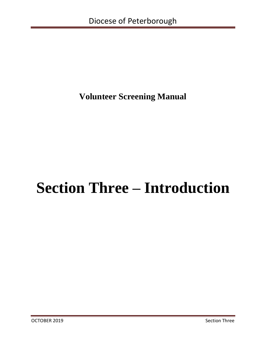# **Volunteer Screening Manual**

# **Section Three – Introduction**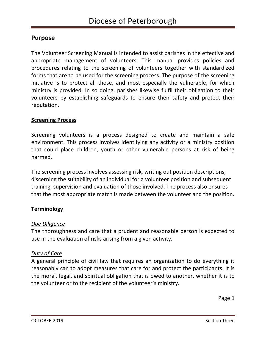# **Purpose**

The Volunteer Screening Manual is intended to assist parishes in the effective and appropriate management of volunteers. This manual provides policies and procedures relating to the screening of volunteers together with standardized forms that are to be used for the screening process. The purpose of the screening initiative is to protect all those, and most especially the vulnerable, for which ministry is provided. In so doing, parishes likewise fulfil their obligation to their volunteers by establishing safeguards to ensure their safety and protect their reputation.

#### **Screening Process**

Screening volunteers is a process designed to create and maintain a safe environment. This process involves identifying any activity or a ministry position that could place children, youth or other vulnerable persons at risk of being harmed.

The screening process involves assessing risk, writing out position descriptions, discerning the suitability of an individual for a volunteer position and subsequent training, supervision and evaluation of those involved. The process also ensures that the most appropriate match is made between the volunteer and the position.

#### **Terminology**

#### *Due Diligence*

The thoroughness and care that a prudent and reasonable person is expected to use in the evaluation of risks arising from a given activity.

#### *Duty of Care*

A general principle of civil law that requires an organization to do everything it reasonably can to adopt measures that care for and protect the participants. It is the moral, legal, and spiritual obligation that is owed to another, whether it is to the volunteer or to the recipient of the volunteer's ministry.

Page 1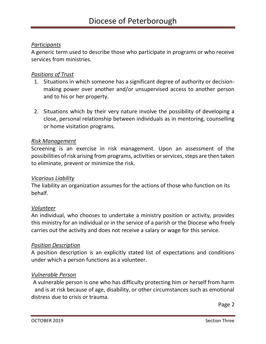# *Participants*

A generic term used to describe those who participate in programs or who receive services from ministries.

#### *Positions of Trust*

- 1. Situations in which someone has a significant degree of authority or decisionmaking power over another and/or unsupervised access to another person and to his or her property.
- 2. Situations which by their very nature involve the possibility of developing a close, personal relationship between individuals as in mentoring, counselling or home visitation programs.

#### *Risk Management*

Screening is an exercise in risk management. Upon an assessment of the possibilities of risk arising from programs, activities or services, steps are then taken to eliminate, prevent or minimize the risk.

#### *Vicarious Liability*

The liability an organization assumes for the actions of those who function on its behalf.

#### *Volunteer*

An individual, who chooses to undertake a ministry position or activity, provides this ministry for an individual or in the service of a parish or the Diocese who freely carries out the activity and does not receive a salary or wage for this service.

#### *Position Description*

A position description is an explicitly stated list of expectations and conditions under which a person functions as a volunteer.

#### *Vulnerable Person*

A vulnerable person is one who has difficulty protecting him or herself from harm and is at risk because of age, disability, or other circumstances such as emotional distress due to crisis or trauma.

Page 2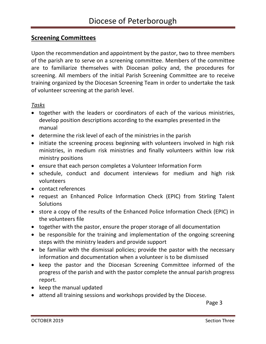# **Screening Committees**

Upon the recommendation and appointment by the pastor, two to three members of the parish are to serve on a screening committee. Members of the committee are to familiarize themselves with Diocesan policy and, the procedures for screening. All members of the initial Parish Screening Committee are to receive training organized by the Diocesan Screening Team in order to undertake the task of volunteer screening at the parish level.

#### *Tasks*

- together with the leaders or coordinators of each of the various ministries, develop position descriptions according to the examples presented in the manual
- determine the risk level of each of the ministries in the parish
- initiate the screening process beginning with volunteers involved in high risk ministries, in medium risk ministries and finally volunteers within low risk ministry positions
- ensure that each person completes a Volunteer Information Form
- schedule, conduct and document interviews for medium and high risk volunteers
- contact references
- request an Enhanced Police Information Check (EPIC) from Stirling Talent **Solutions**
- store a copy of the results of the Enhanced Police Information Check (EPIC) in the volunteers file
- together with the pastor, ensure the proper storage of all documentation
- be responsible for the training and implementation of the ongoing screening steps with the ministry leaders and provide support
- be familiar with the dismissal policies; provide the pastor with the necessary information and documentation when a volunteer is to be dismissed
- keep the pastor and the Diocesan Screening Committee informed of the progress of the parish and with the pastor complete the annual parish progress report.
- keep the manual updated
- attend all training sessions and workshops provided by the Diocese.

**Page 3 Page 3**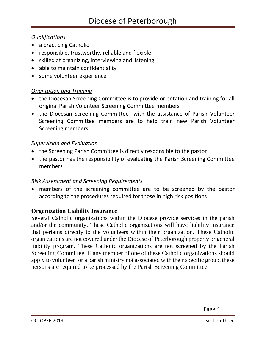# *Qualifications*

- a practicing Catholic
- responsible, trustworthy, reliable and flexible
- skilled at organizing, interviewing and listening
- able to maintain confidentiality
- some volunteer experience

# *Orientation and Training*

- the Diocesan Screening Committee is to provide orientation and training for all original Parish Volunteer Screening Committee members
- the Diocesan Screening Committee with the assistance of Parish Volunteer Screening Committee members are to help train new Parish Volunteer Screening members

# *Supervision and Evaluation*

- the Screening Parish Committee is directly responsible to the pastor
- the pastor has the responsibility of evaluating the Parish Screening Committee members

# *Risk Assessment and Screening Requirements*

• members of the screening committee are to be screened by the pastor according to the procedures required for those in high risk positions

# **Organization Liability Insurance**

Several Catholic organizations within the Diocese provide services in the parish and/or the community. These Catholic organizations will have liability insurance that pertains directly to the volunteers within their organization. These Catholic organizations are not covered under the Diocese of Peterborough property or general liability program. These Catholic organizations are not screened by the Parish Screening Committee. If any member of one of these Catholic organizations should apply to volunteer for a parish ministry not associated with their specific group, these persons are required to be processed by the Parish Screening Committee.

Page 4